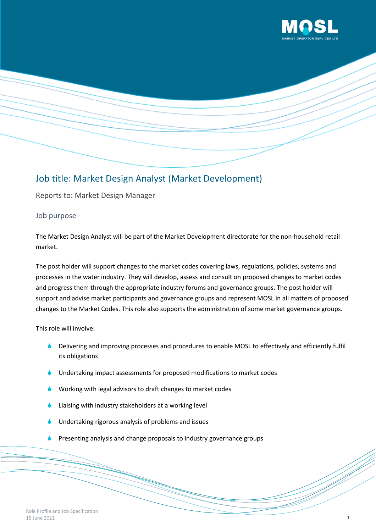



# Job title: Market Design Analyst (Market Development)

Reports to: Market Design Manager

# Job purpose

The Market Design Analyst will be part of the Market Development directorate for the non-household retail market.

The post holder will support changes to the market codes covering laws, regulations, policies, systems and processes in the water industry. They will develop, assess and consult on proposed changes to market codes and progress them through the appropriate industry forums and governance groups. The post holder will support and advise market participants and governance groups and represent MOSL in all matters of proposed changes to the Market Codes. This role also supports the administration of some market governance groups.

This role will involve:

- Delivering and improving processes and procedures to enable MOSL to effectively and efficiently fulfil its obligations
- Undertaking impact assessments for proposed modifications to market codes
- Working with legal advisors to draft changes to market codes
- Liaising with industry stakeholders at a working level
- Undertaking rigorous analysis of problems and issues
- Presenting analysis and change proposals to industry governance groups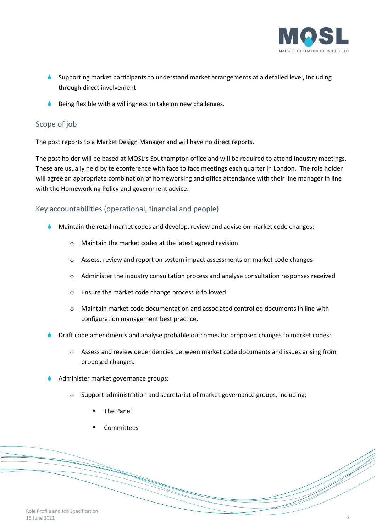

- Supporting market participants to understand market arrangements at a detailed level, including through direct involvement
- Being flexible with a willingness to take on new challenges.

## Scope of job

The post reports to a Market Design Manager and will have no direct reports.

The post holder will be based at MOSL's Southampton office and will be required to attend industry meetings. These are usually held by teleconference with face to face meetings each quarter in London. The role holder will agree an appropriate combination of homeworking and office attendance with their line manager in line with the Homeworking Policy and government advice.

# Key accountabilities (operational, financial and people)

- Maintain the retail market codes and develop, review and advise on market code changes:
	- o Maintain the market codes at the latest agreed revision
	- o Assess, review and report on system impact assessments on market code changes
	- o Administer the industry consultation process and analyse consultation responses received
	- o Ensure the market code change process is followed
	- o Maintain market code documentation and associated controlled documents in line with configuration management best practice.
- Draft code amendments and analyse probable outcomes for proposed changes to market codes:
	- o Assess and review dependencies between market code documents and issues arising from proposed changes.
- Administer market governance groups:
	- o Support administration and secretariat of market governance groups, including;
		- The Panel
		- **Committees**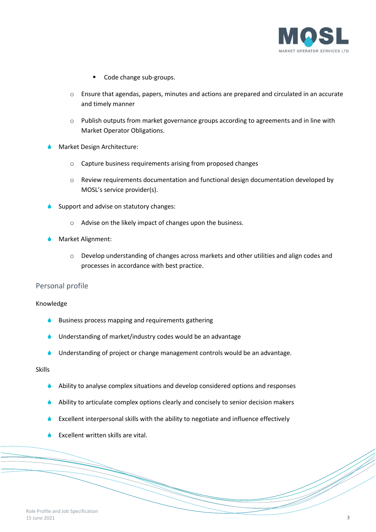

- Code change sub-groups.
- $\circ$  Ensure that agendas, papers, minutes and actions are prepared and circulated in an accurate and timely manner
- o Publish outputs from market governance groups according to agreements and in line with Market Operator Obligations.
- Market Design Architecture:
	- o Capture business requirements arising from proposed changes
	- o Review requirements documentation and functional design documentation developed by MOSL's service provider(s).
- Support and advise on statutory changes:
	- o Advise on the likely impact of changes upon the business.
- Market Alignment:
	- o Develop understanding of changes across markets and other utilities and align codes and processes in accordance with best practice.

#### Personal profile

#### Knowledge

- Business process mapping and requirements gathering
- Understanding of market/industry codes would be an advantage
- Understanding of project or change management controls would be an advantage.

### Skills

- Ability to analyse complex situations and develop considered options and responses
- Ability to articulate complex options clearly and concisely to senior decision makers
- Excellent interpersonal skills with the ability to negotiate and influence effectively
- Excellent written skills are vital.